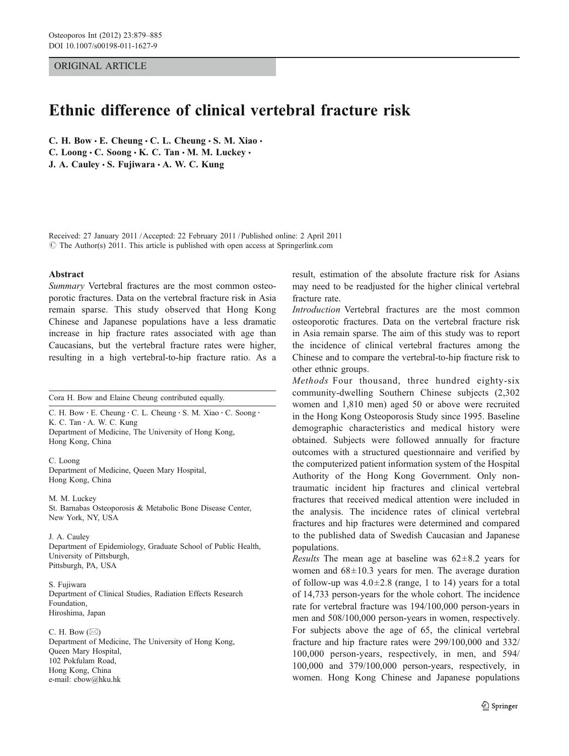# ORIGINAL ARTICLE

# Ethnic difference of clinical vertebral fracture risk

C. H. Bow  $\cdot$  E. Cheung  $\cdot$  C. L. Cheung  $\cdot$  S. M. Xiao  $\cdot$ C. Loong  $\cdot$  C. Soong  $\cdot$  K. C. Tan  $\cdot$  M. M. Luckey  $\cdot$ J. A. Cauley · S. Fujiwara · A. W. C. Kung

Received: 27 January 2011 /Accepted: 22 February 2011 / Published online: 2 April 2011  $\odot$  The Author(s) 2011. This article is published with open access at Springerlink.com

#### Abstract

Summary Vertebral fractures are the most common osteoporotic fractures. Data on the vertebral fracture risk in Asia remain sparse. This study observed that Hong Kong Chinese and Japanese populations have a less dramatic increase in hip fracture rates associated with age than Caucasians, but the vertebral fracture rates were higher, resulting in a high vertebral-to-hip fracture ratio. As a

Cora H. Bow and Elaine Cheung contributed equally.

C. H. Bow · E. Cheung · C. L. Cheung · S. M. Xiao · C. Soong · K. C. Tan : A. W. C. Kung Department of Medicine, The University of Hong Kong, Hong Kong, China

C. Loong Department of Medicine, Queen Mary Hospital, Hong Kong, China

M. M. Luckey St. Barnabas Osteoporosis & Metabolic Bone Disease Center, New York, NY, USA

J. A. Cauley Department of Epidemiology, Graduate School of Public Health, University of Pittsburgh, Pittsburgh, PA, USA

S. Fujiwara Department of Clinical Studies, Radiation Effects Research Foundation, Hiroshima, Japan

C. H. Bow  $(\boxtimes)$ Department of Medicine, The University of Hong Kong, Queen Mary Hospital, 102 Pokfulam Road, Hong Kong, China e-mail: cbow@hku.hk

result, estimation of the absolute fracture risk for Asians may need to be readjusted for the higher clinical vertebral fracture rate.

Introduction Vertebral fractures are the most common osteoporotic fractures. Data on the vertebral fracture risk in Asia remain sparse. The aim of this study was to report the incidence of clinical vertebral fractures among the Chinese and to compare the vertebral-to-hip fracture risk to other ethnic groups.

Methods Four thousand, three hundred eighty-six community-dwelling Southern Chinese subjects (2,302 women and 1,810 men) aged 50 or above were recruited in the Hong Kong Osteoporosis Study since 1995. Baseline demographic characteristics and medical history were obtained. Subjects were followed annually for fracture outcomes with a structured questionnaire and verified by the computerized patient information system of the Hospital Authority of the Hong Kong Government. Only nontraumatic incident hip fractures and clinical vertebral fractures that received medical attention were included in the analysis. The incidence rates of clinical vertebral fractures and hip fractures were determined and compared to the published data of Swedish Caucasian and Japanese populations.

*Results* The mean age at baseline was  $62 \pm 8.2$  years for women and  $68\pm10.3$  years for men. The average duration of follow-up was  $4.0 \pm 2.8$  (range, 1 to 14) years for a total of 14,733 person-years for the whole cohort. The incidence rate for vertebral fracture was 194/100,000 person-years in men and 508/100,000 person-years in women, respectively. For subjects above the age of 65, the clinical vertebral fracture and hip fracture rates were 299/100,000 and 332/ 100,000 person-years, respectively, in men, and 594/ 100,000 and 379/100,000 person-years, respectively, in women. Hong Kong Chinese and Japanese populations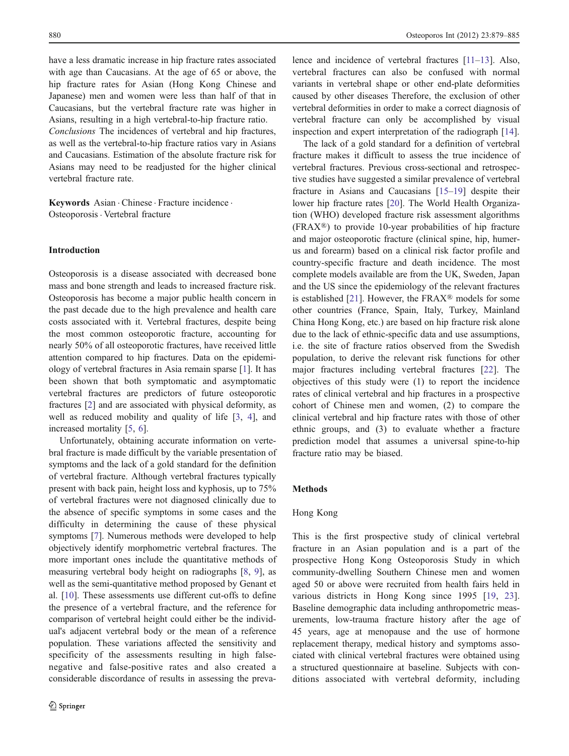have a less dramatic increase in hip fracture rates associated with age than Caucasians. At the age of 65 or above, the hip fracture rates for Asian (Hong Kong Chinese and Japanese) men and women were less than half of that in Caucasians, but the vertebral fracture rate was higher in Asians, resulting in a high vertebral-to-hip fracture ratio. Conclusions The incidences of vertebral and hip fractures, as well as the vertebral-to-hip fracture ratios vary in Asians and Caucasians. Estimation of the absolute fracture risk for Asians may need to be readjusted for the higher clinical vertebral fracture rate.

Keywords Asian . Chinese . Fracture incidence . Osteoporosis. Vertebral fracture

## Introduction

Osteoporosis is a disease associated with decreased bone mass and bone strength and leads to increased fracture risk. Osteoporosis has become a major public health concern in the past decade due to the high prevalence and health care costs associated with it. Vertebral fractures, despite being the most common osteoporotic fracture, accounting for nearly 50% of all osteoporotic fractures, have received little attention compared to hip fractures. Data on the epidemiology of vertebral fractures in Asia remain sparse [[1\]](#page-6-0). It has been shown that both symptomatic and asymptomatic vertebral fractures are predictors of future osteoporotic fractures [[2\]](#page-6-0) and are associated with physical deformity, as well as reduced mobility and quality of life [[3,](#page-6-0) [4](#page-6-0)], and increased mortality [\[5](#page-6-0), [6\]](#page-6-0).

Unfortunately, obtaining accurate information on vertebral fracture is made difficult by the variable presentation of symptoms and the lack of a gold standard for the definition of vertebral fracture. Although vertebral fractures typically present with back pain, height loss and kyphosis, up to 75% of vertebral fractures were not diagnosed clinically due to the absence of specific symptoms in some cases and the difficulty in determining the cause of these physical symptoms [\[7](#page-6-0)]. Numerous methods were developed to help objectively identify morphometric vertebral fractures. The more important ones include the quantitative methods of measuring vertebral body height on radiographs [[8](#page-6-0), [9](#page-6-0)], as well as the semi-quantitative method proposed by Genant et al. [\[10](#page-6-0)]. These assessments use different cut-offs to define the presence of a vertebral fracture, and the reference for comparison of vertebral height could either be the individual's adjacent vertebral body or the mean of a reference population. These variations affected the sensitivity and specificity of the assessments resulting in high falsenegative and false-positive rates and also created a considerable discordance of results in assessing the preva-

lence and incidence of vertebral fractures [\[11](#page-6-0)–[13\]](#page-6-0). Also, vertebral fractures can also be confused with normal variants in vertebral shape or other end-plate deformities caused by other diseases Therefore, the exclusion of other vertebral deformities in order to make a correct diagnosis of vertebral fracture can only be accomplished by visual inspection and expert interpretation of the radiograph [\[14](#page-6-0)].

The lack of a gold standard for a definition of vertebral fracture makes it difficult to assess the true incidence of vertebral fractures. Previous cross-sectional and retrospective studies have suggested a similar prevalence of vertebral fracture in Asians and Caucasians [[15](#page-6-0)–[19\]](#page-6-0) despite their lower hip fracture rates [\[20](#page-6-0)]. The World Health Organization (WHO) developed fracture risk assessment algorithms (FRAX®) to provide 10-year probabilities of hip fracture and major osteoporotic fracture (clinical spine, hip, humerus and forearm) based on a clinical risk factor profile and country-specific fracture and death incidence. The most complete models available are from the UK, Sweden, Japan and the US since the epidemiology of the relevant fractures is established [[21\]](#page-6-0). However, the  $FRAX^{\circledR}$  models for some other countries (France, Spain, Italy, Turkey, Mainland China Hong Kong, etc.) are based on hip fracture risk alone due to the lack of ethnic-specific data and use assumptions, i.e. the site of fracture ratios observed from the Swedish population, to derive the relevant risk functions for other major fractures including vertebral fractures [[22\]](#page-6-0). The objectives of this study were (1) to report the incidence rates of clinical vertebral and hip fractures in a prospective cohort of Chinese men and women, (2) to compare the clinical vertebral and hip fracture rates with those of other ethnic groups, and (3) to evaluate whether a fracture prediction model that assumes a universal spine-to-hip fracture ratio may be biased.

### Methods

#### Hong Kong

This is the first prospective study of clinical vertebral fracture in an Asian population and is a part of the prospective Hong Kong Osteoporosis Study in which community-dwelling Southern Chinese men and women aged 50 or above were recruited from health fairs held in various districts in Hong Kong since 1995 [\[19](#page-6-0), [23](#page-6-0)]. Baseline demographic data including anthropometric measurements, low-trauma fracture history after the age of 45 years, age at menopause and the use of hormone replacement therapy, medical history and symptoms associated with clinical vertebral fractures were obtained using a structured questionnaire at baseline. Subjects with conditions associated with vertebral deformity, including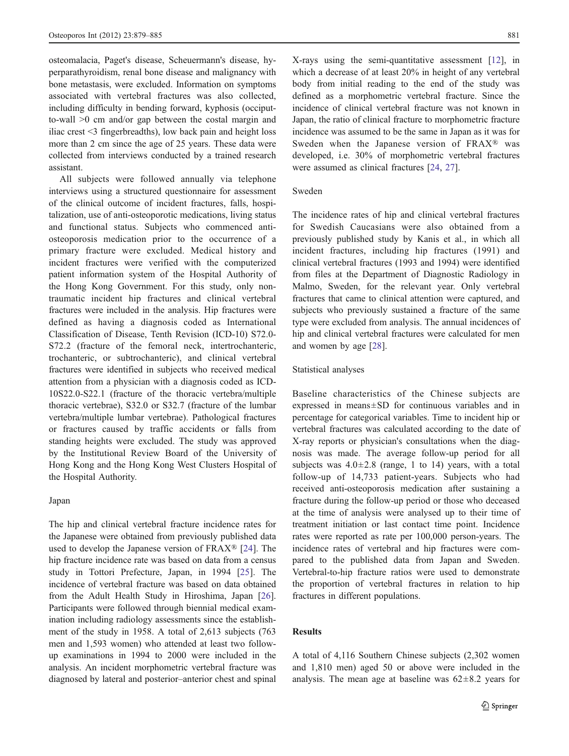osteomalacia, Paget's disease, Scheuermann's disease, hyperparathyroidism, renal bone disease and malignancy with bone metastasis, were excluded. Information on symptoms associated with vertebral fractures was also collected, including difficulty in bending forward, kyphosis (occiputto-wall >0 cm and/or gap between the costal margin and iliac crest <3 fingerbreadths), low back pain and height loss more than 2 cm since the age of 25 years. These data were collected from interviews conducted by a trained research assistant.

All subjects were followed annually via telephone interviews using a structured questionnaire for assessment of the clinical outcome of incident fractures, falls, hospitalization, use of anti-osteoporotic medications, living status and functional status. Subjects who commenced antiosteoporosis medication prior to the occurrence of a primary fracture were excluded. Medical history and incident fractures were verified with the computerized patient information system of the Hospital Authority of the Hong Kong Government. For this study, only nontraumatic incident hip fractures and clinical vertebral fractures were included in the analysis. Hip fractures were defined as having a diagnosis coded as International Classification of Disease, Tenth Revision (ICD-10) S72.0- S72.2 (fracture of the femoral neck, intertrochanteric, trochanteric, or subtrochanteric), and clinical vertebral fractures were identified in subjects who received medical attention from a physician with a diagnosis coded as ICD-10S22.0-S22.1 (fracture of the thoracic vertebra/multiple thoracic vertebrae), S32.0 or S32.7 (fracture of the lumbar vertebra/multiple lumbar vertebrae). Pathological fractures or fractures caused by traffic accidents or falls from standing heights were excluded. The study was approved by the Institutional Review Board of the University of Hong Kong and the Hong Kong West Clusters Hospital of the Hospital Authority.

#### Japan

The hip and clinical vertebral fracture incidence rates for the Japanese were obtained from previously published data used to develop the Japanese version of FRAX® [[24\]](#page-6-0). The hip fracture incidence rate was based on data from a census study in Tottori Prefecture, Japan, in 1994 [\[25\]](#page-6-0). The incidence of vertebral fracture was based on data obtained from the Adult Health Study in Hiroshima, Japan [\[26](#page-6-0)]. Participants were followed through biennial medical examination including radiology assessments since the establishment of the study in 1958. A total of 2,613 subjects (763 men and 1,593 women) who attended at least two followup examinations in 1994 to 2000 were included in the analysis. An incident morphometric vertebral fracture was diagnosed by lateral and posterior–anterior chest and spinal X-rays using the semi-quantitative assessment [\[12](#page-6-0)], in which a decrease of at least 20% in height of any vertebral body from initial reading to the end of the study was defined as a morphometric vertebral fracture. Since the incidence of clinical vertebral fracture was not known in Japan, the ratio of clinical fracture to morphometric fracture incidence was assumed to be the same in Japan as it was for Sweden when the Japanese version of FRAX® was developed, i.e. 30% of morphometric vertebral fractures were assumed as clinical fractures [\[24](#page-6-0), [27](#page-6-0)].

# Sweden

The incidence rates of hip and clinical vertebral fractures for Swedish Caucasians were also obtained from a previously published study by Kanis et al., in which all incident fractures, including hip fractures (1991) and clinical vertebral fractures (1993 and 1994) were identified from files at the Department of Diagnostic Radiology in Malmo, Sweden, for the relevant year. Only vertebral fractures that came to clinical attention were captured, and subjects who previously sustained a fracture of the same type were excluded from analysis. The annual incidences of hip and clinical vertebral fractures were calculated for men and women by age [[28\]](#page-6-0).

#### Statistical analyses

Baseline characteristics of the Chinese subjects are expressed in means±SD for continuous variables and in percentage for categorical variables. Time to incident hip or vertebral fractures was calculated according to the date of X-ray reports or physician's consultations when the diagnosis was made. The average follow-up period for all subjects was  $4.0 \pm 2.8$  (range, 1 to 14) years, with a total follow-up of 14,733 patient-years. Subjects who had received anti-osteoporosis medication after sustaining a fracture during the follow-up period or those who deceased at the time of analysis were analysed up to their time of treatment initiation or last contact time point. Incidence rates were reported as rate per 100,000 person-years. The incidence rates of vertebral and hip fractures were compared to the published data from Japan and Sweden. Vertebral-to-hip fracture ratios were used to demonstrate the proportion of vertebral fractures in relation to hip fractures in different populations.

# Results

A total of 4,116 Southern Chinese subjects (2,302 women and 1,810 men) aged 50 or above were included in the analysis. The mean age at baseline was  $62 \pm 8.2$  years for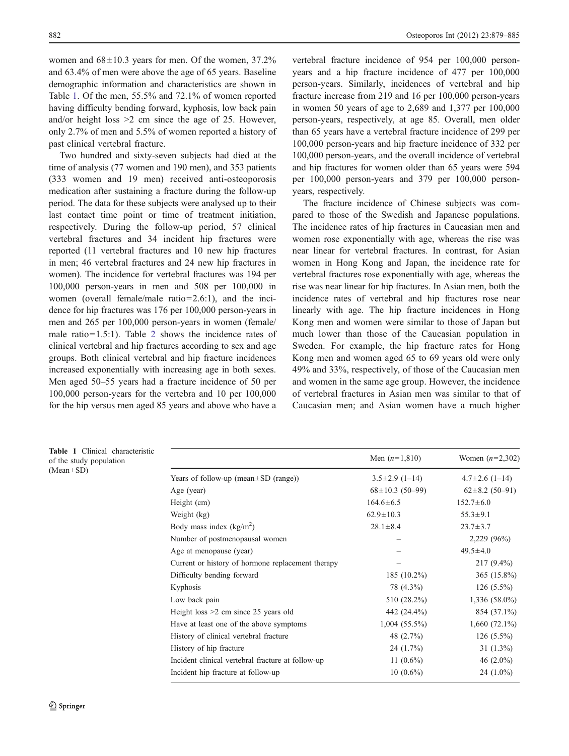women and  $68\pm10.3$  years for men. Of the women,  $37.2\%$ and 63.4% of men were above the age of 65 years. Baseline demographic information and characteristics are shown in Table 1. Of the men, 55.5% and 72.1% of women reported having difficulty bending forward, kyphosis, low back pain and/or height loss >2 cm since the age of 25. However, only 2.7% of men and 5.5% of women reported a history of past clinical vertebral fracture.

Two hundred and sixty-seven subjects had died at the time of analysis (77 women and 190 men), and 353 patients (333 women and 19 men) received anti-osteoporosis medication after sustaining a fracture during the follow-up period. The data for these subjects were analysed up to their last contact time point or time of treatment initiation, respectively. During the follow-up period, 57 clinical vertebral fractures and 34 incident hip fractures were reported (11 vertebral fractures and 10 new hip fractures in men; 46 vertebral fractures and 24 new hip fractures in women). The incidence for vertebral fractures was 194 per 100,000 person-years in men and 508 per 100,000 in women (overall female/male ratio=2.6:1), and the incidence for hip fractures was 176 per 100,000 person-years in men and 265 per 100,000 person-years in women (female/ male ratio=1.5:1). Table [2](#page-4-0) shows the incidence rates of clinical vertebral and hip fractures according to sex and age groups. Both clinical vertebral and hip fracture incidences increased exponentially with increasing age in both sexes. Men aged 50–55 years had a fracture incidence of 50 per 100,000 person-years for the vertebra and 10 per 100,000 for the hip versus men aged 85 years and above who have a

vertebral fracture incidence of 954 per 100,000 personyears and a hip fracture incidence of 477 per 100,000 person-years. Similarly, incidences of vertebral and hip fracture increase from 219 and 16 per 100,000 person-years in women 50 years of age to 2,689 and 1,377 per 100,000 person-years, respectively, at age 85. Overall, men older than 65 years have a vertebral fracture incidence of 299 per 100,000 person-years and hip fracture incidence of 332 per 100,000 person-years, and the overall incidence of vertebral and hip fractures for women older than 65 years were 594 per 100,000 person-years and 379 per 100,000 personyears, respectively.

The fracture incidence of Chinese subjects was compared to those of the Swedish and Japanese populations. The incidence rates of hip fractures in Caucasian men and women rose exponentially with age, whereas the rise was near linear for vertebral fractures. In contrast, for Asian women in Hong Kong and Japan, the incidence rate for vertebral fractures rose exponentially with age, whereas the rise was near linear for hip fractures. In Asian men, both the incidence rates of vertebral and hip fractures rose near linearly with age. The hip fracture incidences in Hong Kong men and women were similar to those of Japan but much lower than those of the Caucasian population in Sweden. For example, the hip fracture rates for Hong Kong men and women aged 65 to 69 years old were only 49% and 33%, respectively, of those of the Caucasian men and women in the same age group. However, the incidence of vertebral fractures in Asian men was similar to that of Caucasian men; and Asian women have a much higher

| Table 1 Clinical characteristic<br>of the study population |                                                   | Men $(n=1,810)$       | Women $(n=2,302)$    |  |
|------------------------------------------------------------|---------------------------------------------------|-----------------------|----------------------|--|
| $(Mean \pm SD)$                                            | Years of follow-up (mean $\pm$ SD (range))        | $3.5 \pm 2.9$ (1-14)  | $4.7\pm2.6$ (1-14)   |  |
|                                                            | Age (year)                                        | $68 \pm 10.3$ (50-99) | $62 \pm 8.2$ (50-91) |  |
|                                                            | Height (cm)                                       | $164.6 \pm 6.5$       | $152.7 \pm 6.0$      |  |
|                                                            | Weight (kg)                                       | $62.9 \pm 10.3$       | $55.3 \pm 9.1$       |  |
|                                                            | Body mass index $(kg/m2)$                         | $28.1 \pm 8.4$        | $23.7 \pm 3.7$       |  |
|                                                            | Number of postmenopausal women                    |                       | 2,229 (96%)          |  |
|                                                            | Age at menopause (year)                           |                       | $49.5 \pm 4.0$       |  |
|                                                            | Current or history of hormone replacement therapy |                       | $217(9.4\%)$         |  |
|                                                            | Difficulty bending forward                        | 185 $(10.2\%)$        | $365(15.8\%)$        |  |
|                                                            | Kyphosis                                          | 78 (4.3%)             | $126(5.5\%)$         |  |
|                                                            | Low back pain                                     | 510 (28.2%)           | $1,336(58.0\%)$      |  |
|                                                            | Height loss $>2$ cm since 25 years old            | 442 (24.4%)           | 854 (37.1%)          |  |
|                                                            | Have at least one of the above symptoms           | $1,004$ (55.5%)       | $1,660(72.1\%)$      |  |
|                                                            | History of clinical vertebral fracture            | 48 (2.7%)             | $126(5.5\%)$         |  |
|                                                            | History of hip fracture                           | $24(1.7\%)$           | $31(1.3\%)$          |  |
|                                                            | Incident clinical vertebral fracture at follow-up | 11 $(0.6\%)$          | 46 $(2.0\%)$         |  |
|                                                            | Incident hip fracture at follow-up                | $10(0.6\%)$           | $24(1.0\%)$          |  |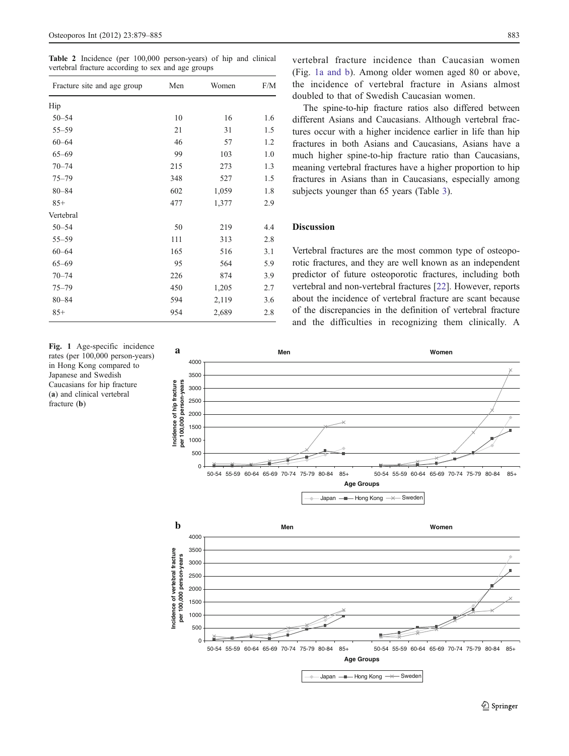<span id="page-4-0"></span>Table 2 Incidence (per 100,000 person-years) of hip and clinical vertebral fracture according to sex and age groups

| Fracture site and age group | Men | Women | F/M |
|-----------------------------|-----|-------|-----|
| Hip                         |     |       |     |
| $50 - 54$                   | 10  | 16    | 1.6 |
| $55 - 59$                   | 21  | 31    | 1.5 |
| $60 - 64$                   | 46  | 57    | 1.2 |
| $65 - 69$                   | 99  | 103   | 1.0 |
| $70 - 74$                   | 215 | 273   | 1.3 |
| $75 - 79$                   | 348 | 527   | 1.5 |
| $80 - 84$                   | 602 | 1,059 | 1.8 |
| $85+$                       | 477 | 1,377 | 2.9 |
| Vertebral                   |     |       |     |
| $50 - 54$                   | 50  | 219   | 4.4 |
| $55 - 59$                   | 111 | 313   | 2.8 |
| $60 - 64$                   | 165 | 516   | 3.1 |
| $65 - 69$                   | 95  | 564   | 5.9 |
| $70 - 74$                   | 226 | 874   | 3.9 |
| $75 - 79$                   | 450 | 1,205 | 2.7 |
| $80 - 84$                   | 594 | 2,119 | 3.6 |
| $85+$                       | 954 | 2,689 | 2.8 |

Fig. 1 Age-specific incidence rates (per 100,000 person-years) in Hong Kong compared to Japanese and Swedish Caucasians for hip fracture (a) and clinical vertebral fracture (b)

vertebral fracture incidence than Caucasian women (Fig. 1a and b). Among older women aged 80 or above, the incidence of vertebral fracture in Asians almost doubled to that of Swedish Caucasian women.

The spine-to-hip fracture ratios also differed between different Asians and Caucasians. Although vertebral fractures occur with a higher incidence earlier in life than hip fractures in both Asians and Caucasians, Asians have a much higher spine-to-hip fracture ratio than Caucasians, meaning vertebral fractures have a higher proportion to hip fractures in Asians than in Caucasians, especially among subjects younger than 65 years (Table [3](#page-5-0)).

# **Discussion**

Vertebral fractures are the most common type of osteoporotic fractures, and they are well known as an independent predictor of future osteoporotic fractures, including both vertebral and non-vertebral fractures [\[22](#page-6-0)]. However, reports about the incidence of vertebral fracture are scant because of the discrepancies in the definition of vertebral fracture and the difficulties in recognizing them clinically. A

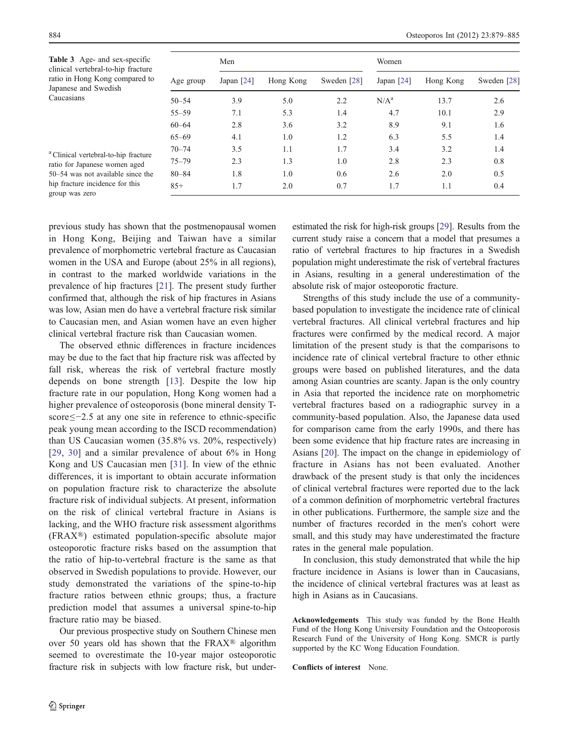<span id="page-5-0"></span>Table 3 Age- and sex-specific clinical vertebral-to-hip fracture ratio in Hong Kong compared to Japanese and Swedish Caucasians

|           | Men          |           |             |              | Women     |             |  |
|-----------|--------------|-----------|-------------|--------------|-----------|-------------|--|
| Age group | Japan $[24]$ | Hong Kong | Sweden [28] | Japan $[24]$ | Hong Kong | Sweden [28] |  |
| $50 - 54$ | 3.9          | 5.0       | 2.2         | $N/A^a$      | 13.7      | 2.6         |  |
| $55 - 59$ | 7.1          | 5.3       | 1.4         | 4.7          | 10.1      | 2.9         |  |
| $60 - 64$ | 2.8          | 3.6       | 3.2         | 8.9          | 9.1       | 1.6         |  |
| $65 - 69$ | 4.1          | 1.0       | 1.2         | 6.3          | 5.5       | 1.4         |  |
| $70 - 74$ | 3.5          | 1.1       | 1.7         | 3.4          | 3.2       | 1.4         |  |
| $75 - 79$ | 2.3          | 1.3       | 1.0         | 2.8          | 2.3       | 0.8         |  |
| $80 - 84$ | 1.8          | 1.0       | 0.6         | 2.6          | 2.0       | 0.5         |  |
| $85+$     | 1.7          | 2.0       | 0.7         | 1.7          | 1.1       | 0.4         |  |

<sup>a</sup> Clinical vertebral-to-hip fracture ratio for Japanese women aged 50–54 was not available since the hip fracture incidence for this group was zero

previous study has shown that the postmenopausal women in Hong Kong, Beijing and Taiwan have a similar prevalence of morphometric vertebral fracture as Caucasian women in the USA and Europe (about 25% in all regions), in contrast to the marked worldwide variations in the prevalence of hip fractures [[21\]](#page-6-0). The present study further confirmed that, although the risk of hip fractures in Asians was low, Asian men do have a vertebral fracture risk similar to Caucasian men, and Asian women have an even higher clinical vertebral fracture risk than Caucasian women.

The observed ethnic differences in fracture incidences may be due to the fact that hip fracture risk was affected by fall risk, whereas the risk of vertebral fracture mostly depends on bone strength [\[13](#page-6-0)]. Despite the low hip fracture rate in our population, Hong Kong women had a higher prevalence of osteoporosis (bone mineral density Tscore≤−2.5 at any one site in reference to ethnic-specific peak young mean according to the ISCD recommendation) than US Caucasian women (35.8% vs. 20%, respectively) [\[29,](#page-6-0) [30\]](#page-6-0) and a similar prevalence of about 6% in Hong Kong and US Caucasian men [\[31\]](#page-6-0). In view of the ethnic differences, it is important to obtain accurate information on population fracture risk to characterize the absolute fracture risk of individual subjects. At present, information on the risk of clinical vertebral fracture in Asians is lacking, and the WHO fracture risk assessment algorithms (FRAX®) estimated population-specific absolute major osteoporotic fracture risks based on the assumption that the ratio of hip-to-vertebral fracture is the same as that observed in Swedish populations to provide. However, our study demonstrated the variations of the spine-to-hip fracture ratios between ethnic groups; thus, a fracture prediction model that assumes a universal spine-to-hip fracture ratio may be biased.

Our previous prospective study on Southern Chinese men over 50 years old has shown that the FRAX® algorithm seemed to overestimate the 10-year major osteoporotic fracture risk in subjects with low fracture risk, but under-

estimated the risk for high-risk groups [\[29](#page-6-0)]. Results from the current study raise a concern that a model that presumes a ratio of vertebral fractures to hip fractures in a Swedish population might underestimate the risk of vertebral fractures in Asians, resulting in a general underestimation of the absolute risk of major osteoporotic fracture.

Strengths of this study include the use of a communitybased population to investigate the incidence rate of clinical vertebral fractures. All clinical vertebral fractures and hip fractures were confirmed by the medical record. A major limitation of the present study is that the comparisons to incidence rate of clinical vertebral fracture to other ethnic groups were based on published literatures, and the data among Asian countries are scanty. Japan is the only country in Asia that reported the incidence rate on morphometric vertebral fractures based on a radiographic survey in a community-based population. Also, the Japanese data used for comparison came from the early 1990s, and there has been some evidence that hip fracture rates are increasing in Asians [[20\]](#page-6-0). The impact on the change in epidemiology of fracture in Asians has not been evaluated. Another drawback of the present study is that only the incidences of clinical vertebral fractures were reported due to the lack of a common definition of morphometric vertebral fractures in other publications. Furthermore, the sample size and the number of fractures recorded in the men's cohort were small, and this study may have underestimated the fracture rates in the general male population.

In conclusion, this study demonstrated that while the hip fracture incidence in Asians is lower than in Caucasians, the incidence of clinical vertebral fractures was at least as high in Asians as in Caucasians.

Acknowledgements This study was funded by the Bone Health Fund of the Hong Kong University Foundation and the Osteoporosis Research Fund of the University of Hong Kong. SMCR is partly supported by the KC Wong Education Foundation.

Conflicts of interest None.